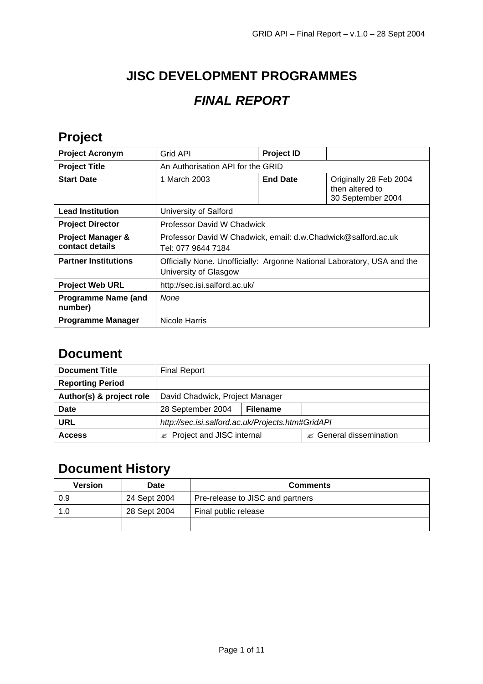# **JISC DEVELOPMENT PROGRAMMES** *FINAL REPORT*

## **Project**

| <b>Project Acronym</b>                          | Grid API                                                                                         | <b>Project ID</b> |                                                                |  |
|-------------------------------------------------|--------------------------------------------------------------------------------------------------|-------------------|----------------------------------------------------------------|--|
| <b>Project Title</b>                            | An Authorisation API for the GRID                                                                |                   |                                                                |  |
| <b>Start Date</b>                               | 1 March 2003                                                                                     | <b>End Date</b>   | Originally 28 Feb 2004<br>then altered to<br>30 September 2004 |  |
| <b>Lead Institution</b>                         | University of Salford                                                                            |                   |                                                                |  |
| <b>Project Director</b>                         | <b>Professor David W Chadwick</b>                                                                |                   |                                                                |  |
| <b>Project Manager &amp;</b><br>contact details | Professor David W Chadwick, email: d.w.Chadwick@salford.ac.uk<br>Tel: 077 9644 7184              |                   |                                                                |  |
| <b>Partner Institutions</b>                     | Officially None. Unofficially: Argonne National Laboratory, USA and the<br>University of Glasgow |                   |                                                                |  |
| <b>Project Web URL</b>                          | http://sec.isi.salford.ac.uk/                                                                    |                   |                                                                |  |
| <b>Programme Name (and</b><br>number)           | None                                                                                             |                   |                                                                |  |
| <b>Programme Manager</b>                        | Nicole Harris                                                                                    |                   |                                                                |  |

#### **Document**

| <b>Document Title</b>    | <b>Final Report</b>                               |                 |                                     |
|--------------------------|---------------------------------------------------|-----------------|-------------------------------------|
| <b>Reporting Period</b>  |                                                   |                 |                                     |
| Author(s) & project role | David Chadwick, Project Manager                   |                 |                                     |
| Date                     | 28 September 2004                                 | <b>Filename</b> |                                     |
| URL                      | http://sec.isi.salford.ac.uk/Projects.htm#GridAPI |                 |                                     |
| <b>Access</b>            | Project and JISC internal<br>≪                    |                 | $\mathscr{A}$ General dissemination |

## **Document History**

| <b>Version</b> | Date         | <b>Comments</b>                  |
|----------------|--------------|----------------------------------|
| 0.9            | 24 Sept 2004 | Pre-release to JISC and partners |
| 1.0            | 28 Sept 2004 | Final public release             |
|                |              |                                  |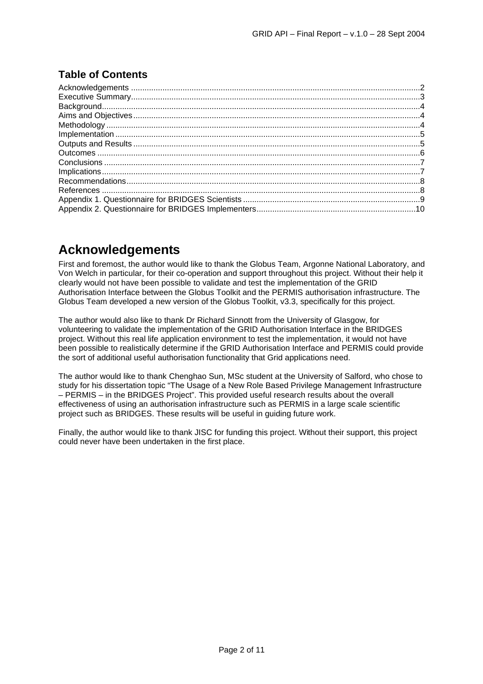#### **Table of Contents**

### **Acknowledgements**

First and foremost, the author would like to thank the Globus Team, Argonne National Laboratory, and Von Welch in particular, for their co-operation and support throughout this project. Without their help it clearly would not have been possible to validate and test the implementation of the GRID Authorisation Interface between the Globus Toolkit and the PERMIS authorisation infrastructure. The Globus Team developed a new version of the Globus Toolkit, v3.3, specifically for this project.

The author would also like to thank Dr Richard Sinnott from the University of Glasgow, for volunteering to validate the implementation of the GRID Authorisation Interface in the BRIDGES project. Without this real life application environment to test the implementation, it would not have been possible to realistically determine if the GRID Authorisation Interface and PERMIS could provide the sort of additional useful authorisation functionality that Grid applications need.

The author would like to thank Chenghao Sun, MSc student at the University of Salford, who chose to study for his dissertation topic "The Usage of a New Role Based Privilege Management Infrastructure – PERMIS – in the BRIDGES Project". This provided useful research results about the overall effectiveness of using an authorisation infrastructure such as PERMIS in a large scale scientific project such as BRIDGES. These results will be useful in guiding future work.

Finally, the author would like to thank JISC for funding this project. Without their support, this project could never have been undertaken in the first place.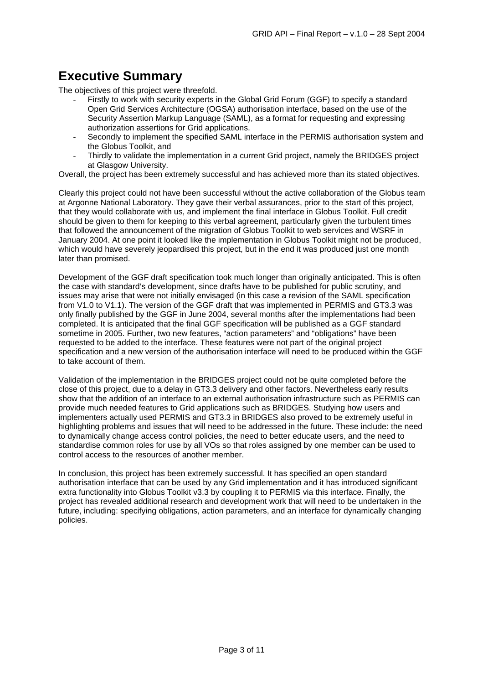### **Executive Summary**

The objectives of this project were threefold.

- Firstly to work with security experts in the Global Grid Forum (GGF) to specify a standard Open Grid Services Architecture (OGSA) authorisation interface, based on the use of the Security Assertion Markup Language (SAML), as a format for requesting and expressing authorization assertions for Grid applications.
- Secondly to implement the specified SAML interface in the PERMIS authorisation system and the Globus Toolkit, and
- Thirdly to validate the implementation in a current Grid project, namely the BRIDGES project at Glasgow University.

Overall, the project has been extremely successful and has achieved more than its stated objectives.

Clearly this project could not have been successful without the active collaboration of the Globus team at Argonne National Laboratory. They gave their verbal assurances, prior to the start of this project, that they would collaborate with us, and implement the final interface in Globus Toolkit. Full credit should be given to them for keeping to this verbal agreement, particularly given the turbulent times that followed the announcement of the migration of Globus Toolkit to web services and WSRF in January 2004. At one point it looked like the implementation in Globus Toolkit might not be produced, which would have severely jeopardised this project, but in the end it was produced just one month later than promised.

Development of the GGF draft specification took much longer than originally anticipated. This is often the case with standard's development, since drafts have to be published for public scrutiny, and issues may arise that were not initially envisaged (in this case a revision of the SAML specification from V1.0 to V1.1). The version of the GGF draft that was implemented in PERMIS and GT3.3 was only finally published by the GGF in June 2004, several months after the implementations had been completed. It is anticipated that the final GGF specification will be published as a GGF standard sometime in 2005. Further, two new features, "action parameters" and "obligations" have been requested to be added to the interface. These features were not part of the original project specification and a new version of the authorisation interface will need to be produced within the GGF to take account of them.

Validation of the implementation in the BRIDGES project could not be quite completed before the close of this project, due to a delay in GT3.3 delivery and other factors. Nevertheless early results show that the addition of an interface to an external authorisation infrastructure such as PERMIS can provide much needed features to Grid applications such as BRIDGES. Studying how users and implementers actually used PERMIS and GT3.3 in BRIDGES also proved to be extremely useful in highlighting problems and issues that will need to be addressed in the future. These include: the need to dynamically change access control policies, the need to better educate users, and the need to standardise common roles for use by all VOs so that roles assigned by one member can be used to control access to the resources of another member.

In conclusion, this project has been extremely successful. It has specified an open standard authorisation interface that can be used by any Grid implementation and it has introduced significant extra functionality into Globus Toolkit v3.3 by coupling it to PERMIS via this interface. Finally, the project has revealed additional research and development work that will need to be undertaken in the future, including: specifying obligations, action parameters, and an interface for dynamically changing policies.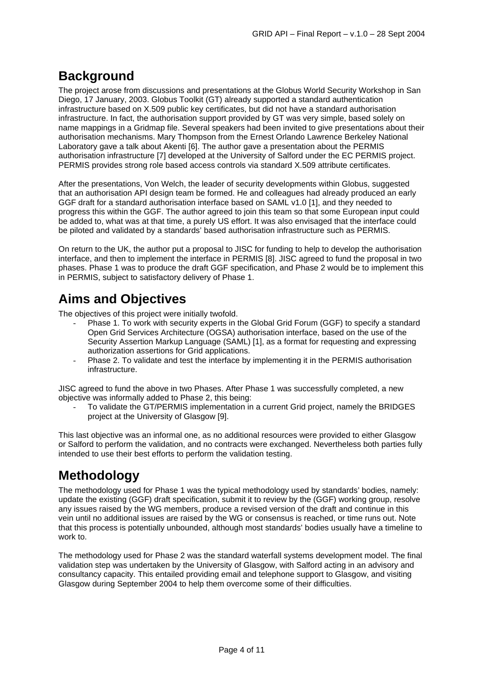## **Background**

The project arose from discussions and presentations at the Globus World Security Workshop in San Diego, 17 January, 2003. Globus Toolkit (GT) already supported a standard authentication infrastructure based on X.509 public key certificates, but did not have a standard authorisation infrastructure. In fact, the authorisation support provided by GT was very simple, based solely on name mappings in a Gridmap file. Several speakers had been invited to give presentations about their authorisation mechanisms. Mary Thompson from the Ernest Orlando Lawrence Berkeley National Laboratory gave a talk about Akenti [6]. The author gave a presentation about the PERMIS authorisation infrastructure [7] developed at the University of Salford under the EC PERMIS project. PERMIS provides strong role based access controls via standard X.509 attribute certificates.

After the presentations, Von Welch, the leader of security developments within Globus, suggested that an authorisation API design team be formed. He and colleagues had already produced an early GGF draft for a standard authorisation interface based on SAML v1.0 [1], and they needed to progress this within the GGF. The author agreed to join this team so that some European input could be added to, what was at that time, a purely US effort. It was also envisaged that the interface could be piloted and validated by a standards' based authorisation infrastructure such as PERMIS.

On return to the UK, the author put a proposal to JISC for funding to help to develop the authorisation interface, and then to implement the interface in PERMIS [8]. JISC agreed to fund the proposal in two phases. Phase 1 was to produce the draft GGF specification, and Phase 2 would be to implement this in PERMIS, subject to satisfactory delivery of Phase 1.

## **Aims and Objectives**

The objectives of this project were initially twofold.

- Phase 1. To work with security experts in the Global Grid Forum (GGF) to specify a standard Open Grid Services Architecture (OGSA) authorisation interface, based on the use of the Security Assertion Markup Language (SAML) [1], as a format for requesting and expressing authorization assertions for Grid applications.
- Phase 2. To validate and test the interface by implementing it in the PERMIS authorisation infrastructure.

JISC agreed to fund the above in two Phases. After Phase 1 was successfully completed, a new objective was informally added to Phase 2, this being:

To validate the GT/PERMIS implementation in a current Grid project, namely the BRIDGES project at the University of Glasgow [9].

This last objective was an informal one, as no additional resources were provided to either Glasgow or Salford to perform the validation, and no contracts were exchanged. Nevertheless both parties fully intended to use their best efforts to perform the validation testing.

## **Methodology**

The methodology used for Phase 1 was the typical methodology used by standards' bodies, namely: update the existing (GGF) draft specification, submit it to review by the (GGF) working group, resolve any issues raised by the WG members, produce a revised version of the draft and continue in this vein until no additional issues are raised by the WG or consensus is reached, or time runs out. Note that this process is potentially unbounded, although most standards' bodies usually have a timeline to work to.

The methodology used for Phase 2 was the standard waterfall systems development model. The final validation step was undertaken by the University of Glasgow, with Salford acting in an advisory and consultancy capacity. This entailed providing email and telephone support to Glasgow, and visiting Glasgow during September 2004 to help them overcome some of their difficulties.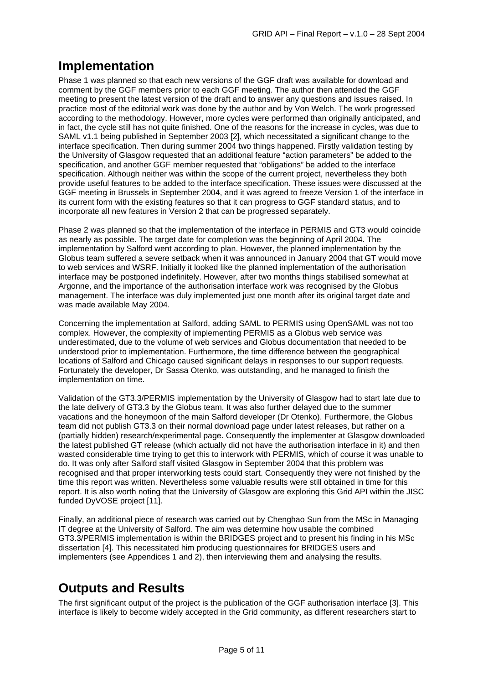## **Implementation**

Phase 1 was planned so that each new versions of the GGF draft was available for download and comment by the GGF members prior to each GGF meeting. The author then attended the GGF meeting to present the latest version of the draft and to answer any questions and issues raised. In practice most of the editorial work was done by the author and by Von Welch. The work progressed according to the methodology. However, more cycles were performed than originally anticipated, and in fact, the cycle still has not quite finished. One of the reasons for the increase in cycles, was due to SAML v1.1 being published in September 2003 [2], which necessitated a significant change to the interface specification. Then during summer 2004 two things happened. Firstly validation testing by the University of Glasgow requested that an additional feature "action parameters" be added to the specification, and another GGF member requested that "obligations" be added to the interface specification. Although neither was within the scope of the current project, nevertheless they both provide useful features to be added to the interface specification. These issues were discussed at the GGF meeting in Brussels in September 2004, and it was agreed to freeze Version 1 of the interface in its current form with the existing features so that it can progress to GGF standard status, and to incorporate all new features in Version 2 that can be progressed separately.

Phase 2 was planned so that the implementation of the interface in PERMIS and GT3 would coincide as nearly as possible. The target date for completion was the beginning of April 2004. The implementation by Salford went according to plan. However, the planned implementation by the Globus team suffered a severe setback when it was announced in January 2004 that GT would move to web services and WSRF. Initially it looked like the planned implementation of the authorisation interface may be postponed indefinitely. However, after two months things stabilised somewhat at Argonne, and the importance of the authorisation interface work was recognised by the Globus management. The interface was duly implemented just one month after its original target date and was made available May 2004.

Concerning the implementation at Salford, adding SAML to PERMIS using OpenSAML was not too complex. However, the complexity of implementing PERMIS as a Globus web service was underestimated, due to the volume of web services and Globus documentation that needed to be understood prior to implementation. Furthermore, the time difference between the geographical locations of Salford and Chicago caused significant delays in responses to our support requests. Fortunately the developer, Dr Sassa Otenko, was outstanding, and he managed to finish the implementation on time.

Validation of the GT3.3/PERMIS implementation by the University of Glasgow had to start late due to the late delivery of GT3.3 by the Globus team. It was also further delayed due to the summer vacations and the honeymoon of the main Salford developer (Dr Otenko). Furthermore, the Globus team did not publish GT3.3 on their normal download page under latest releases, but rather on a (partially hidden) research/experimental page. Consequently the implementer at Glasgow downloaded the latest published GT release (which actually did not have the authorisation interface in it) and then wasted considerable time trying to get this to interwork with PERMIS, which of course it was unable to do. It was only after Salford staff visited Glasgow in September 2004 that this problem was recognised and that proper interworking tests could start. Consequently they were not finished by the time this report was written. Nevertheless some valuable results were still obtained in time for this report. It is also worth noting that the University of Glasgow are exploring this Grid API within the JISC funded DyVOSE project [11].

Finally, an additional piece of research was carried out by Chenghao Sun from the MSc in Managing IT degree at the University of Salford. The aim was determine how usable the combined GT3.3/PERMIS implementation is within the BRIDGES project and to present his finding in his MSc dissertation [4]. This necessitated him producing questionnaires for BRIDGES users and implementers (see Appendices 1 and 2), then interviewing them and analysing the results.

## **Outputs and Results**

The first significant output of the project is the publication of the GGF authorisation interface [3]. This interface is likely to become widely accepted in the Grid community, as different researchers start to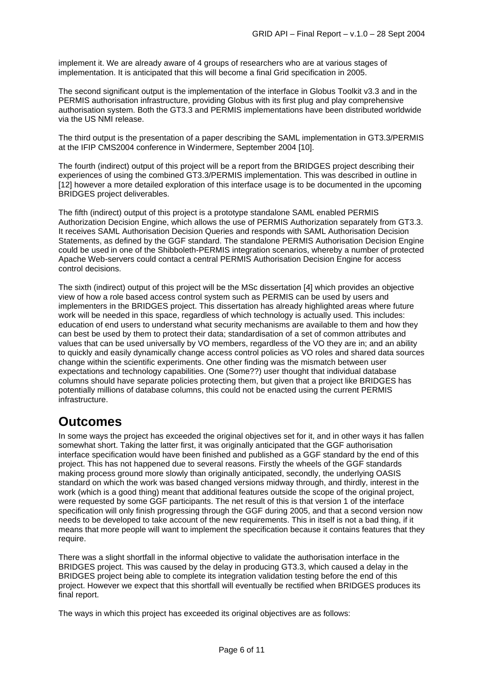implement it. We are already aware of 4 groups of researchers who are at various stages of implementation. It is anticipated that this will become a final Grid specification in 2005.

The second significant output is the implementation of the interface in Globus Toolkit v3.3 and in the PERMIS authorisation infrastructure, providing Globus with its first plug and play comprehensive authorisation system. Both the GT3.3 and PERMIS implementations have been distributed worldwide via the US NMI release.

The third output is the presentation of a paper describing the SAML implementation in GT3.3/PERMIS at the IFIP CMS2004 conference in Windermere, September 2004 [10].

The fourth (indirect) output of this project will be a report from the BRIDGES project describing their experiences of using the combined GT3.3/PERMIS implementation. This was described in outline in [12] however a more detailed exploration of this interface usage is to be documented in the upcoming BRIDGES project deliverables.

The fifth (indirect) output of this project is a prototype standalone SAML enabled PERMIS Authorization Decision Engine, which allows the use of PERMIS Authorization separately from GT3.3. It receives SAML Authorisation Decision Queries and responds with SAML Authorisation Decision Statements, as defined by the GGF standard. The standalone PERMIS Authorisation Decision Engine could be used in one of the Shibboleth-PERMIS integration scenarios, whereby a number of protected Apache Web-servers could contact a central PERMIS Authorisation Decision Engine for access control decisions.

The sixth (indirect) output of this project will be the MSc dissertation [4] which provides an objective view of how a role based access control system such as PERMIS can be used by users and implementers in the BRIDGES project. This dissertation has already highlighted areas where future work will be needed in this space, regardless of which technology is actually used. This includes: education of end users to understand what security mechanisms are available to them and how they can best be used by them to protect their data; standardisation of a set of common attributes and values that can be used universally by VO members, regardless of the VO they are in; and an ability to quickly and easily dynamically change access control policies as VO roles and shared data sources change within the scientific experiments. One other finding was the mismatch between user expectations and technology capabilities. One (Some??) user thought that individual database columns should have separate policies protecting them, but given that a project like BRIDGES has potentially millions of database columns, this could not be enacted using the current PERMIS infrastructure.

#### **Outcomes**

In some ways the project has exceeded the original objectives set for it, and in other ways it has fallen somewhat short. Taking the latter first, it was originally anticipated that the GGF authorisation interface specification would have been finished and published as a GGF standard by the end of this project. This has not happened due to several reasons. Firstly the wheels of the GGF standards making process ground more slowly than originally anticipated, secondly, the underlying OASIS standard on which the work was based changed versions midway through, and thirdly, interest in the work (which is a good thing) meant that additional features outside the scope of the original project, were requested by some GGF participants. The net result of this is that version 1 of the interface specification will only finish progressing through the GGF during 2005, and that a second version now needs to be developed to take account of the new requirements. This in itself is not a bad thing, if it means that more people will want to implement the specification because it contains features that they require.

There was a slight shortfall in the informal objective to validate the authorisation interface in the BRIDGES project. This was caused by the delay in producing GT3.3, which caused a delay in the BRIDGES project being able to complete its integration validation testing before the end of this project. However we expect that this shortfall will eventually be rectified when BRIDGES produces its final report.

The ways in which this project has exceeded its original objectives are as follows: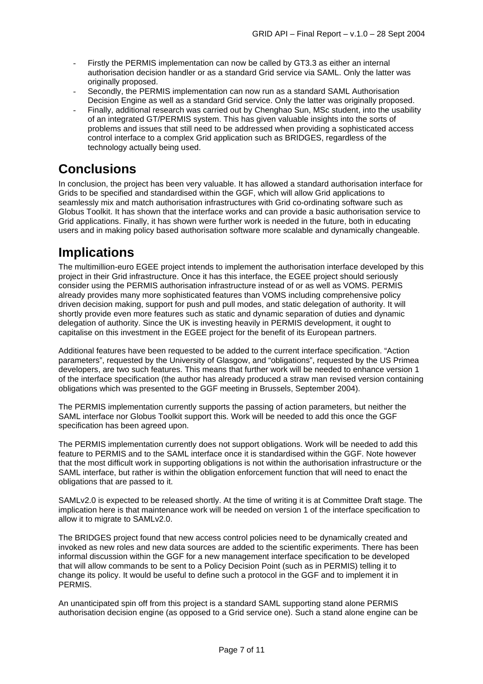- Firstly the PERMIS implementation can now be called by GT3.3 as either an internal authorisation decision handler or as a standard Grid service via SAML. Only the latter was originally proposed.
- Secondly, the PERMIS implementation can now run as a standard SAML Authorisation Decision Engine as well as a standard Grid service. Only the latter was originally proposed.
- Finally, additional research was carried out by Chenghao Sun, MSc student, into the usability of an integrated GT/PERMIS system. This has given valuable insights into the sorts of problems and issues that still need to be addressed when providing a sophisticated access control interface to a complex Grid application such as BRIDGES, regardless of the technology actually being used.

#### **Conclusions**

In conclusion, the project has been very valuable. It has allowed a standard authorisation interface for Grids to be specified and standardised within the GGF, which will allow Grid applications to seamlessly mix and match authorisation infrastructures with Grid co-ordinating software such as Globus Toolkit. It has shown that the interface works and can provide a basic authorisation service to Grid applications. Finally, it has shown were further work is needed in the future, both in educating users and in making policy based authorisation software more scalable and dynamically changeable.

## **Implications**

The multimillion-euro EGEE project intends to implement the authorisation interface developed by this project in their Grid infrastructure. Once it has this interface, the EGEE project should seriously consider using the PERMIS authorisation infrastructure instead of or as well as VOMS. PERMIS already provides many more sophisticated features than VOMS including comprehensive policy driven decision making, support for push and pull modes, and static delegation of authority. It will shortly provide even more features such as static and dynamic separation of duties and dynamic delegation of authority. Since the UK is investing heavily in PERMIS development, it ought to capitalise on this investment in the EGEE project for the benefit of its European partners.

Additional features have been requested to be added to the current interface specification. "Action parameters", requested by the University of Glasgow, and "obligations", requested by the US Primea developers, are two such features. This means that further work will be needed to enhance version 1 of the interface specification (the author has already produced a straw man revised version containing obligations which was presented to the GGF meeting in Brussels, September 2004).

The PERMIS implementation currently supports the passing of action parameters, but neither the SAML interface nor Globus Toolkit support this. Work will be needed to add this once the GGF specification has been agreed upon.

The PERMIS implementation currently does not support obligations. Work will be needed to add this feature to PERMIS and to the SAML interface once it is standardised within the GGF. Note however that the most difficult work in supporting obligations is not within the authorisation infrastructure or the SAML interface, but rather is within the obligation enforcement function that will need to enact the obligations that are passed to it.

SAMLv2.0 is expected to be released shortly. At the time of writing it is at Committee Draft stage. The implication here is that maintenance work will be needed on version 1 of the interface specification to allow it to migrate to SAMLv2.0.

The BRIDGES project found that new access control policies need to be dynamically created and invoked as new roles and new data sources are added to the scientific experiments. There has been informal discussion within the GGF for a new management interface specification to be developed that will allow commands to be sent to a Policy Decision Point (such as in PERMIS) telling it to change its policy. It would be useful to define such a protocol in the GGF and to implement it in PERMIS.

An unanticipated spin off from this project is a standard SAML supporting stand alone PERMIS authorisation decision engine (as opposed to a Grid service one). Such a stand alone engine can be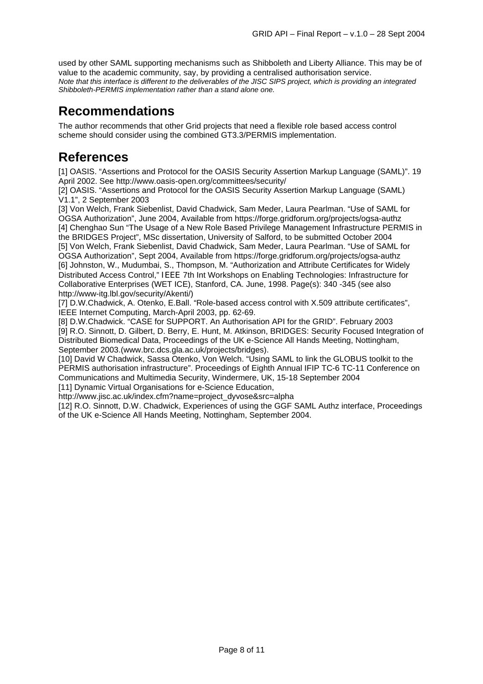used by other SAML supporting mechanisms such as Shibboleth and Liberty Alliance. This may be of value to the academic community, say, by providing a centralised authorisation service. *Note that this interface is different to the deliverables of the JISC SIPS project, which is providing an integrated Shibboleth-PERMIS implementation rather than a stand alone one.*

#### **Recommendations**

The author recommends that other Grid projects that need a flexible role based access control scheme should consider using the combined GT3.3/PERMIS implementation.

#### **References**

[1] OASIS. "Assertions and Protocol for the OASIS Security Assertion Markup Language (SAML)". 19 April 2002. See http://www.oasis-open.org/committees/security/

[2] OASIS. "Assertions and Protocol for the OASIS Security Assertion Markup Language (SAML) V1.1", 2 September 2003

[3] Von Welch, Frank Siebenlist, David Chadwick, Sam Meder, Laura Pearlman. "Use of SAML for OGSA Authorization", June 2004, Available from https://forge.gridforum.org/projects/ogsa-authz [4] Chenghao Sun "The Usage of a New Role Based Privilege Management Infrastructure PERMIS in the BRIDGES Project", MSc dissertation, University of Salford, to be submitted October 2004 [5] Von Welch, Frank Siebenlist, David Chadwick, Sam Meder, Laura Pearlman. "Use of SAML for OGSA Authorization", Sept 2004, Available from https://forge.gridforum.org/projects/ogsa-authz [6] Johnston, W., Mudumbai, S., Thompson, M. "Authorization and Attribute Certificates for Widely Distributed Access Control," IEEE 7th Int Workshops on Enabling Technologies: Infrastructure for Collaborative Enterprises (WET ICE), Stanford, CA. June, 1998. Page(s): 340 -345 (see also http://www-itg.lbl.gov/security/Akenti/)

[7] D.W.Chadwick, A. Otenko, E.Ball. "Role-based access control with X.509 attribute certificates", IEEE Internet Computing, March-April 2003, pp. 62-69.

[8] D.W.Chadwick. "CASE for SUPPORT. An Authorisation API for the GRID". February 2003 [9] R.O. Sinnott, D. Gilbert, D. Berry, E. Hunt, M. Atkinson, BRIDGES: Security Focused Integration of Distributed Biomedical Data, Proceedings of the UK e-Science All Hands Meeting, Nottingham, September 2003.(www.brc.dcs.gla.ac.uk/projects/bridges).

[10] David W Chadwick, Sassa Otenko, Von Welch. "Using SAML to link the GLOBUS toolkit to the PERMIS authorisation infrastructure". Proceedings of Eighth Annual IFIP TC-6 TC-11 Conference on Communications and Multimedia Security, Windermere, UK, 15-18 September 2004

[11] Dynamic Virtual Organisations for e-Science Education,

http://www.jisc.ac.uk/index.cfm?name=project\_dyvose&src=alpha

[12] R.O. Sinnott, D.W. Chadwick, Experiences of using the GGF SAML Authz interface, Proceedings of the UK e-Science All Hands Meeting, Nottingham, September 2004.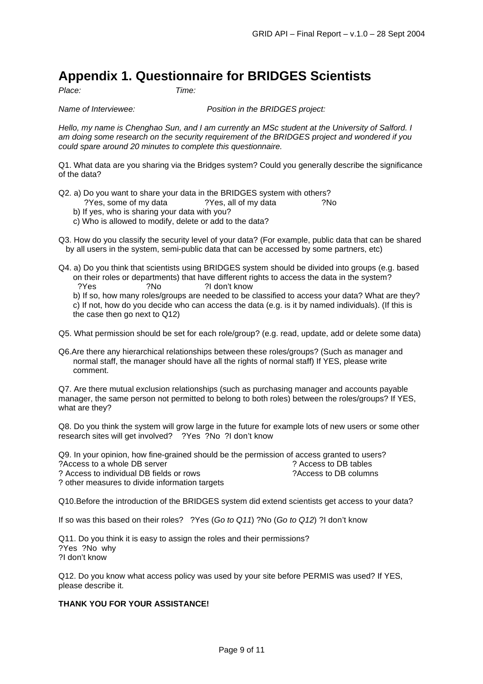#### **Appendix 1. Questionnaire for BRIDGES Scientists**

*Place: Time:* 

*Name of Interviewee: Position in the BRIDGES project:*

*Hello, my name is Chenghao Sun, and I am currently an MSc student at the University of Salford. I am doing some research on the security requirement of the BRIDGES project and wondered if you could spare around 20 minutes to complete this questionnaire.* 

Q1. What data are you sharing via the Bridges system? Could you generally describe the significance of the data?

- Q2. a) Do you want to share your data in the BRIDGES system with others?
	- ?Yes, some of my data ?Yes, all of my data ?No
	- b) If yes, who is sharing your data with you?
	- c) Who is allowed to modify, delete or add to the data?
- Q3. How do you classify the security level of your data? (For example, public data that can be shared by all users in the system, semi-public data that can be accessed by some partners, etc)
- Q4. a) Do you think that scientists using BRIDGES system should be divided into groups (e.g. based on their roles or departments) that have different rights to access the data in the system? ?Yes ?No ?I don't know

b) If so, how many roles/groups are needed to be classified to access your data? What are they? c) If not, how do you decide who can access the data (e.g. is it by named individuals). (If this is the case then go next to Q12)

Q5. What permission should be set for each role/group? (e.g. read, update, add or delete some data)

Q6.Are there any hierarchical relationships between these roles/groups? (Such as manager and normal staff, the manager should have all the rights of normal staff) If YES, please write comment.

Q7. Are there mutual exclusion relationships (such as purchasing manager and accounts payable manager, the same person not permitted to belong to both roles) between the roles/groups? If YES, what are they?

Q8. Do you think the system will grow large in the future for example lots of new users or some other research sites will get involved? ?Yes ?No ?I don't know

Q9. In your opinion, how fine-grained should be the permission of access granted to users? ?Access to a whole DB server ? Access to DB tables ? Access to individual DB fields or rows ?Access to DB columns

? other measures to divide information targets

Q10.Before the introduction of the BRIDGES system did extend scientists get access to your data?

If so was this based on their roles? ?Yes (*Go to Q11*) ?No (*Go to Q12*) ?I don't know

Q11. Do you think it is easy to assign the roles and their permissions? ?Yes ?No why ?I don't know

Q12. Do you know what access policy was used by your site before PERMIS was used? If YES, please describe it.

#### **THANK YOU FOR YOUR ASSISTANCE!**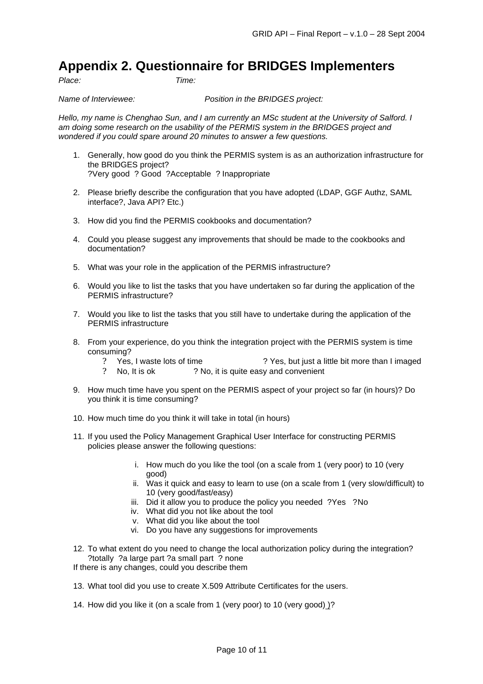#### **Appendix 2. Questionnaire for BRIDGES Implementers**

*Place: Time:* 

*Name of Interviewee: Position in the BRIDGES project:*

*Hello, my name is Chenghao Sun, and I am currently an MSc student at the University of Salford. I am doing some research on the usability of the PERMIS system in the BRIDGES project and wondered if you could spare around 20 minutes to answer a few questions.*

- 1. Generally, how good do you think the PERMIS system is as an authorization infrastructure for the BRIDGES project? ?Very good ? Good ?Acceptable ? Inappropriate
- 2. Please briefly describe the configuration that you have adopted (LDAP, GGF Authz, SAML interface?, Java API? Etc.)
- 3. How did you find the PERMIS cookbooks and documentation?
- 4. Could you please suggest any improvements that should be made to the cookbooks and documentation?
- 5. What was your role in the application of the PERMIS infrastructure?
- 6. Would you like to list the tasks that you have undertaken so far during the application of the PERMIS infrastructure?
- 7. Would you like to list the tasks that you still have to undertake during the application of the PERMIS infrastructure
- 8. From your experience, do you think the integration project with the PERMIS system is time consuming?
	- ? Yes, I waste lots of time ? Yes, but just a little bit more than I imaged
	- ? No, It is ok ? No, it is quite easy and convenient
- 9. How much time have you spent on the PERMIS aspect of your project so far (in hours)? Do you think it is time consuming?
- 10. How much time do you think it will take in total (in hours)
- 11. If you used the Policy Management Graphical User Interface for constructing PERMIS policies please answer the following questions:
	- i. How much do you like the tool (on a scale from 1 (very poor) to 10 (very good)
	- ii. Was it quick and easy to learn to use (on a scale from 1 (very slow/difficult) to 10 (very good/fast/easy)
	- iii. Did it allow you to produce the policy you needed ?Yes ?No
	- iv. What did you not like about the tool
	- v. What did you like about the tool
	- vi. Do you have any suggestions for improvements
- 12. To what extent do you need to change the local authorization policy during the integration? ?totally ?a large part ?a small part ? none
- If there is any changes, could you describe them
- 13. What tool did you use to create X.509 Attribute Certificates for the users.
- 14. How did you like it (on a scale from 1 (very poor) to 10 (very good)  $?$